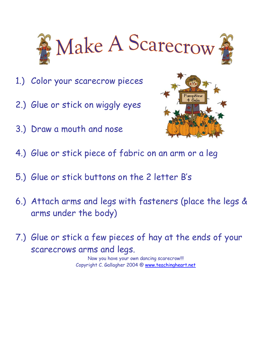

- 1.) Color your scarecrow pieces
- 2.) Glue or stick on wiggly eyes
- 3.) Draw a mouth and nose



- 4.) Glue or stick piece of fabric on an arm or a leg
- 5.) Glue or stick buttons on the 2 letter Bís
- 6.) Attach arms and legs with fasteners (place the legs & arms under the body)
- 7.) Glue or stick a few pieces of hay at the ends of your scarecrows arms and legs.

Now you have your own dancing scarecrow!!! Copyright C. Gallagher 2004 @ www.teachingheart.net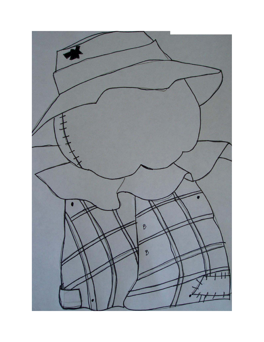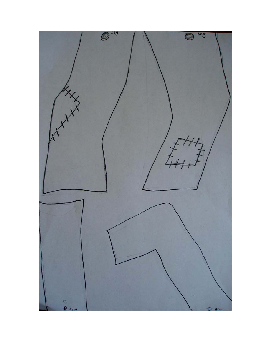